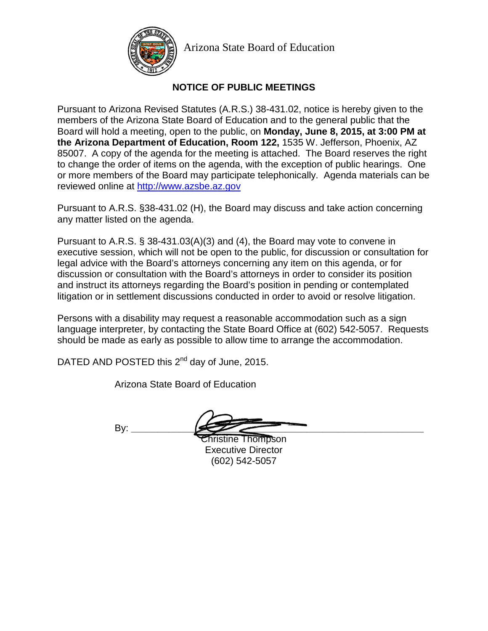

Arizona State Board of Education

# **NOTICE OF PUBLIC MEETINGS**

Pursuant to Arizona Revised Statutes (A.R.S.) 38-431.02, notice is hereby given to the members of the Arizona State Board of Education and to the general public that the Board will hold a meeting, open to the public, on **Monday, June 8, 2015, at 3:00 PM at the Arizona Department of Education, Room 122,** 1535 W. Jefferson, Phoenix, AZ 85007. A copy of the agenda for the meeting is attached. The Board reserves the right to change the order of items on the agenda, with the exception of public hearings. One or more members of the Board may participate telephonically. Agenda materials can be reviewed online at [http://www.a](http://www./)zsbe.az.gov

Pursuant to A.R.S. §38-431.02 (H), the Board may discuss and take action concerning any matter listed on the agenda.

Pursuant to A.R.S. § 38-431.03(A)(3) and (4), the Board may vote to convene in executive session, which will not be open to the public, for discussion or consultation for legal advice with the Board's attorneys concerning any item on this agenda, or for discussion or consultation with the Board's attorneys in order to consider its position and instruct its attorneys regarding the Board's position in pending or contemplated litigation or in settlement discussions conducted in order to avoid or resolve litigation.

Persons with a disability may request a reasonable accommodation such as a sign language interpreter, by contacting the State Board Office at (602) 542-5057. Requests should be made as early as possible to allow time to arrange the accommodation.

DATED AND POSTED this 2<sup>nd</sup> day of June, 2015.

Arizona State Board of Education

By: **\_\_\_\_\_\_\_\_\_\_\_\_\_\_\_\_\_\_\_\_\_\_\_\_\_\_\_\_\_\_\_\_\_\_\_\_\_\_\_\_\_\_\_\_\_\_\_\_\_\_\_\_\_\_\_**

Christine Thompson Executive Director (602) 542-5057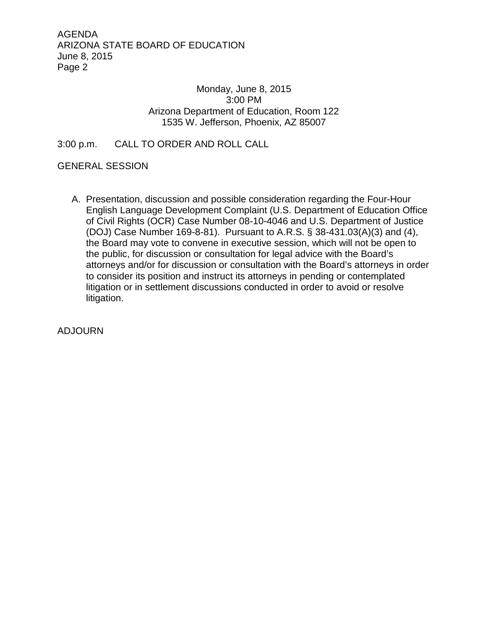### Monday, June 8, 2015 3:00 PM Arizona Department of Education, Room 122 1535 W. Jefferson, Phoenix, AZ 85007

## 3:00 p.m. CALL TO ORDER AND ROLL CALL

#### GENERAL SESSION

A. Presentation, discussion and possible consideration regarding the Four-Hour English Language Development Complaint (U.S. Department of Education Office of Civil Rights (OCR) Case Number 08-10-4046 and U.S. Department of Justice (DOJ) Case Number 169-8-81). Pursuant to A.R.S. § 38-431.03(A)(3) and (4), the Board may vote to convene in executive session, which will not be open to the public, for discussion or consultation for legal advice with the Board's attorneys and/or for discussion or consultation with the Board's attorneys in order to consider its position and instruct its attorneys in pending or contemplated litigation or in settlement discussions conducted in order to avoid or resolve litigation.

ADJOURN